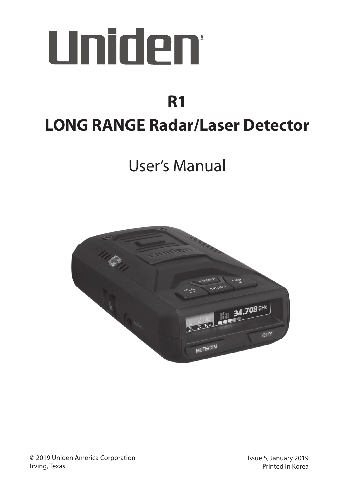

# **LONG RANGE Radar/Laser Detector R1**

# User's Manual

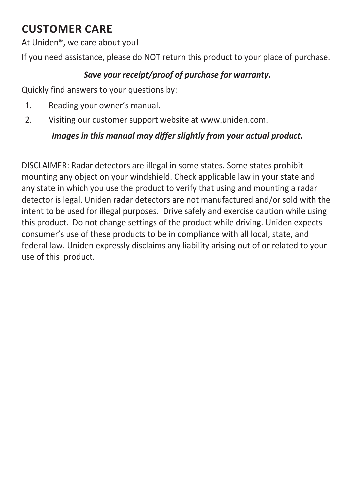### **CUSTOMER CARE**

At Uniden®, we care about you!

If you need assistance, please do NOT return this product to your place of purchase.

#### *Save your receipt/proof of purchase for warranty.*

Quickly find answers to your questions by:

- 1. Reading your owner's manual.
- 2. Visiting our customer support website at www.uniden.com.

#### *Images in this manual may differ slightly from your actual product.*

DISCLAIMER: Radar detectors are illegal in some states. Some states prohibit mounting any object on your windshield. Check applicable law in your state and any state in which you use the product to verify that using and mounting a radar detector is legal. Uniden radar detectors are not manufactured and/or sold with the intent to be used for illegal purposes. Drive safely and exercise caution while using this product. Do not change settings of the product while driving. Uniden expects consumer's use of these products to be in compliance with all local, state, and federal law. Uniden expressly disclaims any liability arising out of or related to your use of this product.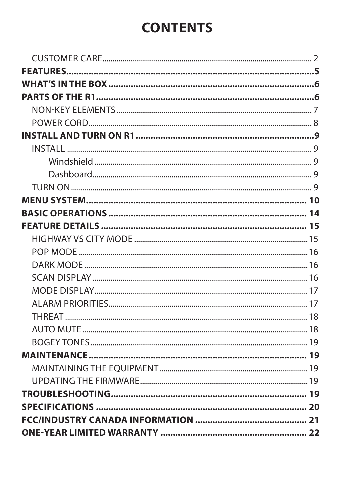# **CONTENTS**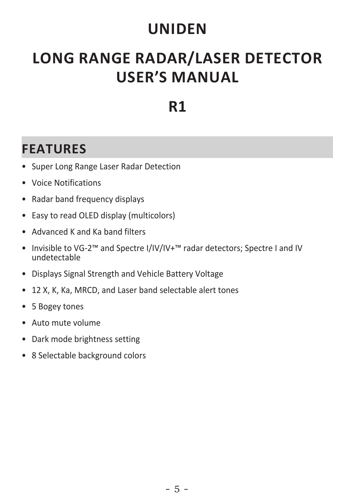# **UNIDEN**

# **LONG RANGE RADAR/LASER DETECTOR USER'S MANUAL**

# **R1**

# **FEATURES**

- Super Long Range Laser Radar Detection
- Voice Notifications
- Radar band frequency displays
- Easy to read OLED display (multicolors)
- Advanced K and Ka band filters
- Invisible to VG-2™ and Spectre I/IV/IV+™ radar detectors; Spectre I and IV undetectable
- Displays Signal Strength and Vehicle Battery Voltage
- 12 X, K, Ka, MRCD, and Laser band selectable alert tones
- 5 Bogey tones
- Auto mute volume
- Dark mode brightness setting
- 8 Selectable background colors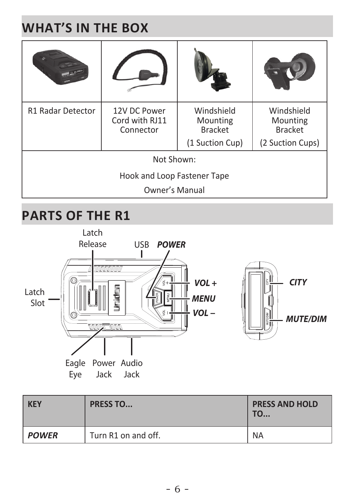# **WHAT'S IN THE BOX**

| <b>R1 Radar Detector</b>    | 12V DC Power<br>Cord with RJ11<br>Connector | Windshield<br>Mounting<br><b>Bracket</b> | Windshield<br>Mounting<br><b>Bracket</b> |
|-----------------------------|---------------------------------------------|------------------------------------------|------------------------------------------|
|                             |                                             | (1 Suction Cup)                          | (2 Suction Cups)                         |
| Not Shown:                  |                                             |                                          |                                          |
| Hook and Loop Fastener Tape |                                             |                                          |                                          |
| Owner's Manual              |                                             |                                          |                                          |

# **PARTS OF THE R1**



| <b>KEY</b>   | <b>PRESS TO</b>     | <b>PRESS AND HOLD</b><br><b>TO</b> |
|--------------|---------------------|------------------------------------|
| <b>POWER</b> | Turn R1 on and off. | <b>NA</b>                          |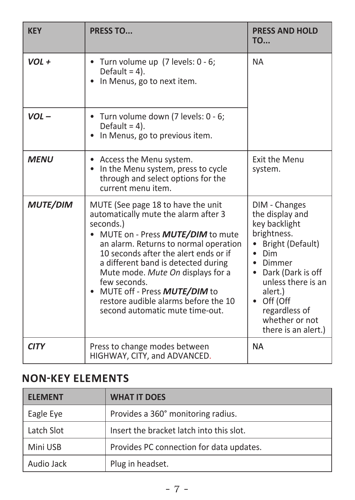| <b>KFY</b>      | <b>PRESS TO</b>                                                                                                                                                                                                                                                                                                                                                                                                             | <b>PRESS AND HOLD</b><br><b>TO</b>                                                                                                                                                                                                              |
|-----------------|-----------------------------------------------------------------------------------------------------------------------------------------------------------------------------------------------------------------------------------------------------------------------------------------------------------------------------------------------------------------------------------------------------------------------------|-------------------------------------------------------------------------------------------------------------------------------------------------------------------------------------------------------------------------------------------------|
| $VOL +$         | • Turn volume up (7 levels: 0 - 6;<br>Default = $4$ ).<br>In Menus, go to next item.                                                                                                                                                                                                                                                                                                                                        | <b>NA</b>                                                                                                                                                                                                                                       |
| $VOL -$         | • Turn volume down (7 levels: 0 - 6;<br>Default = $4$ ).<br>• In Menus, go to previous item.                                                                                                                                                                                                                                                                                                                                |                                                                                                                                                                                                                                                 |
| <b>MFNU</b>     | Access the Menu system.<br>In the Menu system, press to cycle<br>through and select options for the<br>current menu item.                                                                                                                                                                                                                                                                                                   | <b>Exit the Menu</b><br>system.                                                                                                                                                                                                                 |
| <b>MUTE/DIM</b> | MUTE (See page 18 to have the unit<br>automatically mute the alarm after 3<br>seconds.)<br>MUTE on - Press <b>MUTE/DIM</b> to mute<br>an alarm. Returns to normal operation<br>10 seconds after the alert ends or if<br>a different band is detected during<br>Mute mode. Mute On displays for a<br>few seconds.<br>MUTE off - Press MUTE/DIM to<br>restore audible alarms before the 10<br>second automatic mute time-out. | DIM - Changes<br>the display and<br>key backlight<br>brightness.<br>Bright (Default)<br>$\bullet$ Dim<br>• Dimmer<br>• Dark (Dark is off<br>unless there is an<br>alert.)<br>Off (Off<br>regardless of<br>whether or not<br>there is an alert.) |
| <b>CITY</b>     | Press to change modes between<br>HIGHWAY, CITY, and ADVANCED.                                                                                                                                                                                                                                                                                                                                                               | <b>NA</b>                                                                                                                                                                                                                                       |

### **NON-KEY ELEMENTS**

| <b>FLFMFNT</b> | <b>WHAT IT DOES</b>                      |
|----------------|------------------------------------------|
| Eagle Eye      | Provides a 360° monitoring radius.       |
| Latch Slot     | Insert the bracket latch into this slot. |
| Mini USB       | Provides PC connection for data updates. |
| Audio Jack     | Plug in headset.                         |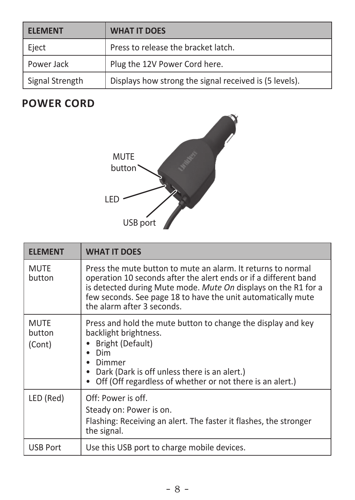| <b>FLFMFNT</b>  | <b>WHAT IT DOES</b>                                    |
|-----------------|--------------------------------------------------------|
| Eject           | Press to release the bracket latch.                    |
| Power Jack      | Plug the 12V Power Cord here.                          |
| Signal Strength | Displays how strong the signal received is (5 levels). |

### **POWER CORD**



| <b>ELEMENT</b>                  | <b>WHAT IT DOES</b>                                                                                                                                                                                                                                                                              |
|---------------------------------|--------------------------------------------------------------------------------------------------------------------------------------------------------------------------------------------------------------------------------------------------------------------------------------------------|
| <b>MUTE</b><br>button           | Press the mute button to mute an alarm. It returns to normal<br>operation 10 seconds after the alert ends or if a different band<br>is detected during Mute mode. Mute On displays on the R1 for a<br>few seconds. See page 18 to have the unit automatically mute<br>the alarm after 3 seconds. |
| <b>MUTE</b><br>button<br>(Cont) | Press and hold the mute button to change the display and key<br>backlight brightness.<br>Bright (Default)<br>Dim<br>Dimmer<br>Dark (Dark is off unless there is an alert.)<br>Off (Off regardless of whether or not there is an alert.)                                                          |
| LED (Red)                       | Off: Power is off.<br>Steady on: Power is on.<br>Flashing: Receiving an alert. The faster it flashes, the stronger<br>the signal.                                                                                                                                                                |
| <b>USB Port</b>                 | Use this USB port to charge mobile devices.                                                                                                                                                                                                                                                      |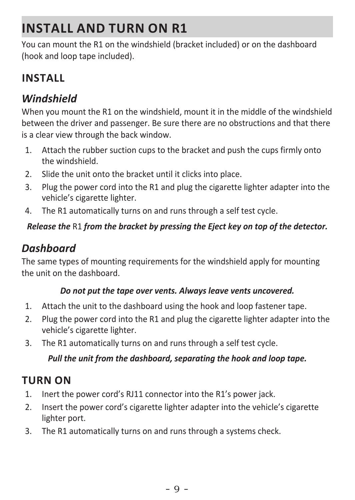# **INSTALL AND TURN ON R1**

You can mount the R1 on the windshield (bracket included) or on the dashboard (hook and loop tape included).

### **INSTALL**

### *Windshield*

When you mount the R1 on the windshield, mount it in the middle of the windshield between the driver and passenger. Be sure there are no obstructions and that there is a clear view through the back window.

- 1. Attach the rubber suction cups to the bracket and push the cups firmly onto the windshield.
- 2. Slide the unit onto the bracket until it clicks into place.
- 3. Plug the power cord into the R1 and plug the cigarette lighter adapter into the vehicle's cigarette lighter.
- 4. The R1 automatically turns on and runs through a self test cycle.

#### *Release the* R1 *from the bracket by pressing the Eject key on top of the detector.*

### *Dashboard*

The same types of mounting requirements for the windshield apply for mounting the unit on the dashboard.

#### *Do not put the tape over vents. Always leave vents uncovered.*

- 1. Attach the unit to the dashboard using the hook and loop fastener tape.
- 2. Plug the power cord into the R1 and plug the cigarette lighter adapter into the vehicle's cigarette lighter.
- 3. The R1 automatically turns on and runs through a self test cycle.

#### *Pull the unit from the dashboard, separating the hook and loop tape.*

### **TURN ON**

- 1. Inert the power cord's RJ11 connector into the R1's power jack.
- 2. Insert the power cord's cigarette lighter adapter into the vehicle's cigarette lighter port.
- 3. The R1 automatically turns on and runs through a systems check.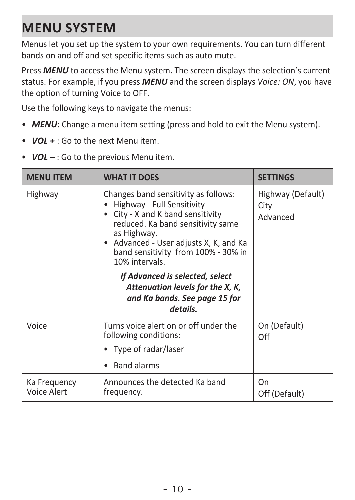# **MENU SYSTEM**

Menus let you set up the system to your own requirements. You can turn different bands on and off and set specific items such as auto mute.

Press **MENU** to access the Menu system. The screen displays the selection's current status. For example, if you press *MENU* and the screen displays *Voice: ON*, you have the option of turning Voice to OFF.

Use the following keys to navigate the menus:

- **MENU**: Change a menu item setting (press and hold to exit the Menu system).
- *VOL +* : Go to the next Menu item.
- *VOL* : Go to the previous Menu item.

| <b>MENU ITEM</b>                                                                                                                                                                                                                                                          | <b>WHAT IT DOES</b>                                                                                              | <b>SETTINGS</b>                       |
|---------------------------------------------------------------------------------------------------------------------------------------------------------------------------------------------------------------------------------------------------------------------------|------------------------------------------------------------------------------------------------------------------|---------------------------------------|
| Changes band sensitivity as follows:<br>Highway<br>Highway - Full Sensitivity<br>• City - X-and K band sensitivity<br>reduced. Ka band sensitivity same<br>as Highway.<br>• Advanced - User adjusts X, K, and Ka<br>band sensitivity from 100% - 30% in<br>10% intervals. |                                                                                                                  | Highway (Default)<br>City<br>Advanced |
|                                                                                                                                                                                                                                                                           | If Advanced is selected, select<br>Attenuation levels for the X, K,<br>and Ka bands. See page 15 for<br>details. |                                       |
| Voice                                                                                                                                                                                                                                                                     | Turns voice alert on or off under the<br>following conditions:<br>• Type of radar/laser                          | On (Default)<br>Off                   |
|                                                                                                                                                                                                                                                                           | <b>Band alarms</b>                                                                                               |                                       |
| Ka Freguency<br>Voice Alert                                                                                                                                                                                                                                               | Announces the detected Ka band<br>frequency.                                                                     | On<br>Off (Default)                   |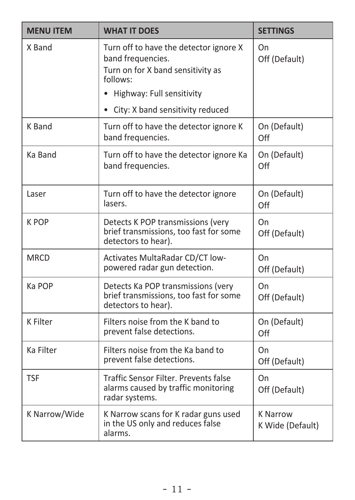| <b>MENU ITEM</b> | <b>WHAT IT DOES</b>                                                                                                                         | <b>SETTINGS</b>                     |
|------------------|---------------------------------------------------------------------------------------------------------------------------------------------|-------------------------------------|
| X Band           | Turn off to have the detector ignore X<br>band frequencies.<br>Turn on for X band sensitivity as<br>follows:<br>• Highway: Full sensitivity | On<br>Off (Default)                 |
|                  | • City: X band sensitivity reduced                                                                                                          |                                     |
| K Band           | Turn off to have the detector ignore K<br>band frequencies.                                                                                 | On (Default)<br>Off                 |
| Ka Band          | Turn off to have the detector ignore Ka<br>band frequencies.                                                                                | On (Default)<br>Off                 |
| Laser            | Turn off to have the detector ignore<br>lasers.                                                                                             | On (Default)<br>Off                 |
| K POP            | Detects K POP transmissions (very<br>brief transmissions, too fast for some<br>detectors to hear).                                          | On<br>Off (Default)                 |
| <b>MRCD</b>      | <b>Activates MultaRadar CD/CT low-</b><br>powered radar gun detection.                                                                      | On<br>Off (Default)                 |
| Ka POP           | Detects Ka POP transmissions (very<br>brief transmissions, too fast for some<br>detectors to hear).                                         | On<br>Off (Default)                 |
| K Filter         | Filters noise from the K band to<br>prevent false detections.                                                                               | On (Default)<br>Off                 |
| Ka Filter        | Filters noise from the Ka band to<br>prevent false detections.                                                                              | On<br>Off (Default)                 |
| <b>TSF</b>       | Traffic Sensor Filter, Prevents false<br>alarms caused by traffic monitoring<br>radar systems.                                              | On<br>Off (Default)                 |
| K Narrow/Wide    | K Narrow scans for K radar guns used<br>in the US only and reduces false<br>alarms.                                                         | <b>K Narrow</b><br>K Wide (Default) |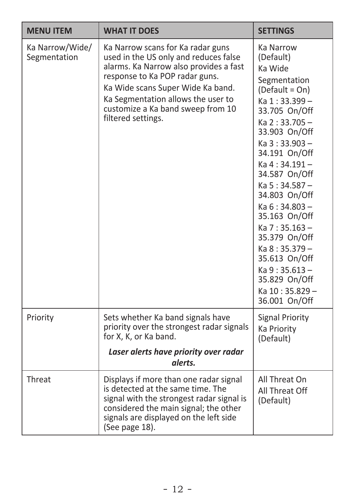| <b>MENU ITEM</b>                | <b>WHAT IT DOES</b>                                                                                                                                                                                                                                                                          | <b>SETTINGS</b>                                                                                                                                                                                                                                                                                                                                                                                                          |
|---------------------------------|----------------------------------------------------------------------------------------------------------------------------------------------------------------------------------------------------------------------------------------------------------------------------------------------|--------------------------------------------------------------------------------------------------------------------------------------------------------------------------------------------------------------------------------------------------------------------------------------------------------------------------------------------------------------------------------------------------------------------------|
| Ka Narrow/Wide/<br>Segmentation | Ka Narrow scans for Ka radar guns<br>used in the US only and reduces false<br>alarms. Ka Narrow also provides a fast<br>response to Ka POP radar guns.<br>Ka Wide scans Super Wide Ka band.<br>Ka Segmentation allows the user to<br>customize a Ka band sweep from 10<br>filtered settings. | Ka Narrow<br>(Default)<br>Ka Wide<br>Segmentation<br>(Default = On)<br>Ka 1:33.399-<br>33.705 On/Off<br>Ka 2:33.705-<br>33.903 On/Off<br>Ka 3:33.903-<br>34.191 On/Off<br>Ka 4:34.191-<br>34.587 On/Off<br>$Ka 5:34.587 -$<br>34.803 On/Off<br>$Ka 6:34.803 -$<br>35.163 On/Off<br>$Ka 7:35.163 -$<br>35.379 On/Off<br>Ka 8:35.379-<br>35.613 On/Off<br>$Ka9:35.613-$<br>35.829 On/Off<br>Ka 10:35.829-<br>36.001 On/Off |
| Priority                        | Sets whether Ka band signals have<br>priority over the strongest radar signals<br>for X, K, or Ka band.<br>Laser alerts have priority over radar<br>alerts.                                                                                                                                  | <b>Signal Priority</b><br><b>Ka Priority</b><br>(Default)                                                                                                                                                                                                                                                                                                                                                                |
| Threat                          | Displays if more than one radar signal<br>is detected at the same time. The<br>signal with the strongest radar signal is<br>considered the main signal; the other<br>signals are displayed on the left side<br>(See page 18).                                                                | All Threat On<br>All Threat Off<br>(Default)                                                                                                                                                                                                                                                                                                                                                                             |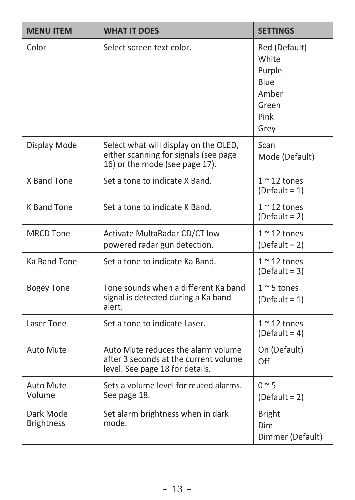| <b>MENU ITEM</b>               | <b>WHAT IT DOES</b>                                                                                              | <b>SETTINGS</b>                                                            |
|--------------------------------|------------------------------------------------------------------------------------------------------------------|----------------------------------------------------------------------------|
| Color                          | Select screen text color.                                                                                        | Red (Default)<br>White<br>Purple<br>Blue<br>Amber<br>Green<br>Pink<br>Grev |
| Display Mode                   | Select what will display on the OLED,<br>either scanning for signals (see page<br>16) or the mode (see page 17). | Scan<br>Mode (Default)                                                     |
| X Band Tone                    | Set a tone to indicate X Band.                                                                                   | $1~$ ~ 12 tones<br>$(Default = 1)$                                         |
| <b>K Band Tone</b>             | Set a tone to indicate K Band.                                                                                   | $1 < 12$ tones<br>$(Default = 2)$                                          |
| <b>MRCD Tone</b>               | Activate MultaRadar CD/CT low<br>powered radar gun detection.                                                    | $1~$ ~ 12 tones<br>$(Default = 2)$                                         |
| Ka Band Tone                   | Set a tone to indicate Ka Band.                                                                                  | $1~$ ~ 12 tones<br>$(Default = 3)$                                         |
| <b>Bogey Tone</b>              | Tone sounds when a different Ka band<br>signal is detected during a Ka band<br>alert.                            | $1 \sim 5$ tones<br>$(Default = 1)$                                        |
| Laser Tone                     | Set a tone to indicate Laser.                                                                                    | $1~$ ~ 12 tones<br>$(Default = 4)$                                         |
| Auto Mute                      | Auto Mute reduces the alarm volume<br>after 3 seconds at the current volume<br>level. See page 18 for details.   | On (Default)<br>Off                                                        |
| <b>Auto Mute</b><br>Volume     | Sets a volume level for muted alarms.<br>See page 18.                                                            | $0 \sim 5$<br>$(Default = 2)$                                              |
| Dark Mode<br><b>Brightness</b> | Set alarm brightness when in dark<br>mode.                                                                       | <b>Bright</b><br>Dim<br>Dimmer (Default)                                   |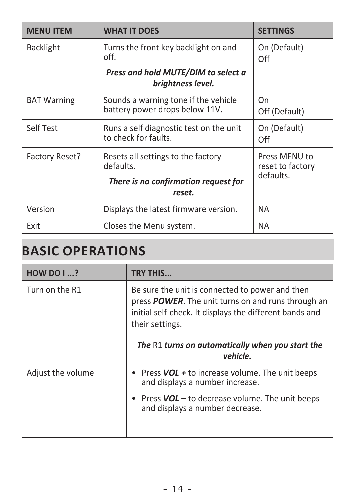| <b>MENU ITEM</b>   | <b>WHAT IT DOES</b>                                                    | <b>SETTINGS</b>                                |
|--------------------|------------------------------------------------------------------------|------------------------------------------------|
| <b>Backlight</b>   | Turns the front key backlight on and<br>off.                           | On (Default)<br>Off                            |
|                    | Press and hold MUTE/DIM to select a<br>brightness level.               |                                                |
| <b>BAT Warning</b> | Sounds a warning tone if the vehicle<br>battery power drops below 11V. | On<br>Off (Default)                            |
| Self Test          | Runs a self diagnostic test on the unit<br>to check for faults.        | On (Default)<br>Off                            |
| Factory Reset?     | Resets all settings to the factory<br>defaults.                        | Press MENU to<br>reset to factory<br>defaults. |
|                    | There is no confirmation request for<br>reset.                         |                                                |
| Version            | Displays the latest firmware version.                                  | <b>NA</b>                                      |
| Exit               | Closes the Menu system.                                                | <b>NA</b>                                      |

# **BASIC OPERATIONS**

| HOW DO1?          | <b>TRY THIS</b>                                                                                                                                                                             |  |
|-------------------|---------------------------------------------------------------------------------------------------------------------------------------------------------------------------------------------|--|
| Turn on the R1    | Be sure the unit is connected to power and then<br>press <b>POWER</b> . The unit turns on and runs through an<br>initial self-check. It displays the different bands and<br>their settings. |  |
|                   | The R1 turns on automatically when you start the<br>vehicle.                                                                                                                                |  |
| Adjust the volume | Press $VOL +$ to increase volume. The unit beeps<br>and displays a number increase.                                                                                                         |  |
|                   | • Press $VOL$ – to decrease volume. The unit beeps<br>and displays a number decrease.                                                                                                       |  |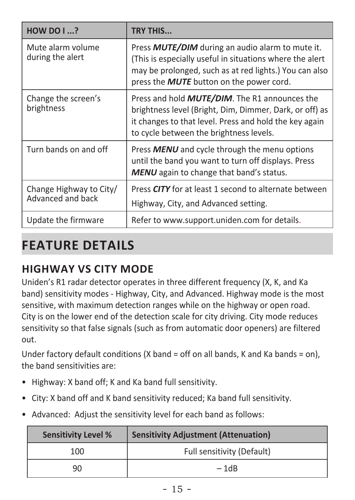| <b>HOW DO I ?</b>                            | <b>TRY THIS</b>                                                                                                                                                                                                                  |
|----------------------------------------------|----------------------------------------------------------------------------------------------------------------------------------------------------------------------------------------------------------------------------------|
| Mute alarm volume<br>during the alert        | Press <b>MUTE/DIM</b> during an audio alarm to mute it.<br>(This is especially useful in situations where the alert<br>may be prolonged, such as at red lights.) You can also<br>press the <b>MUTE</b> button on the power cord. |
| Change the screen's<br>brightness            | Press and hold <b>MUTE/DIM</b> . The R1 announces the<br>brightness level (Bright, Dim, Dimmer, Dark, or off) as<br>it changes to that level. Press and hold the key again<br>to cycle between the brightness levels.            |
| Turn bands on and off                        | Press <b>MENU</b> and cycle through the menu options<br>until the band you want to turn off displays. Press<br><b>MENU</b> again to change that band's status.                                                                   |
| Change Highway to City/<br>Advanced and back | Press CITY for at least 1 second to alternate between<br>Highway, City, and Advanced setting.                                                                                                                                    |
| Update the firmware                          | Refer to www.support.uniden.com for details.                                                                                                                                                                                     |

# **FEATURE DETAILS**

### **HIGHWAY VS CITY MODE**

Uniden's R1 radar detector operates in three different frequency (X, K, and Ka band) sensitivity modes - Highway, City, and Advanced. Highway mode is the most sensitive, with maximum detection ranges while on the highway or open road. City is on the lower end of the detection scale for city driving. City mode reduces sensitivity so that false signals (such as from automatic door openers) are filtered out.

Under factory default conditions (X band = off on all bands, K and Ka bands = on). the band sensitivities are:

- Highway: X band off; K and Ka band full sensitivity.
- City: X band off and K band sensitivity reduced; Ka band full sensitivity.
- Advanced: Adjust the sensitivity level for each band as follows:

| <b>Sensitivity Level %</b> | <b>Sensitivity Adjustment (Attenuation)</b> |  |
|----------------------------|---------------------------------------------|--|
| 100                        | Full sensitivity (Default)                  |  |
| 90                         | $-1dB$                                      |  |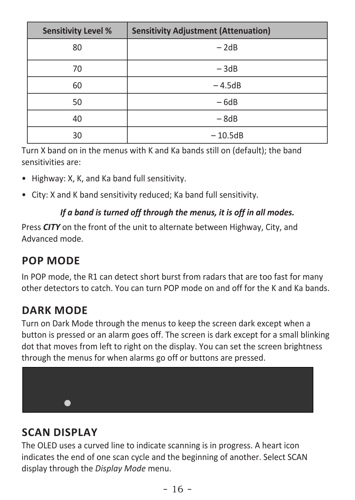| <b>Sensitivity Level %</b> | <b>Sensitivity Adjustment (Attenuation)</b> |  |
|----------------------------|---------------------------------------------|--|
| 80                         | $-2dB$                                      |  |
| 70                         | $-3dB$                                      |  |
| 60                         | $-4.5dB$                                    |  |
| 50                         | $-6dB$                                      |  |
| 40                         | $-8dB$                                      |  |
| 30                         | $-10.5dB$                                   |  |

Turn X band on in the menus with K and Ka bands still on (default); the band sensitivities are:

- Highway: X, K, and Ka band full sensitivity.
- City: X and K band sensitivity reduced; Ka band full sensitivity.

#### *If a band is turned off through the menus, it is off in all modes.*

Press *CITY* on the front of the unit to alternate between Highway, City, and Advanced mode.

### **POP MODE**

In POP mode, the R1 can detect short burst from radars that are too fast for many other detectors to catch. You can turn POP mode on and off for the K and Ka bands.

### **DARK MODE**

Turn on Dark Mode through the menus to keep the screen dark except when a button is pressed or an alarm goes off. The screen is dark except for a small blinking dot that moves from left to right on the display. You can set the screen brightness through the menus for when alarms go off or buttons are pressed.



### **SCAN DISPLAY**

The OLED uses a curved line to indicate scanning is in progress. A heart icon indicates the end of one scan cycle and the beginning of another. Select SCAN display through the *Display Mode* menu.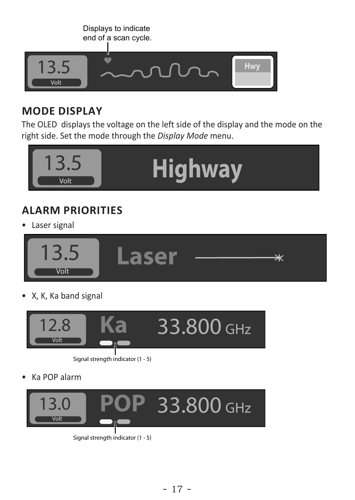

### **MODE DISPLAY**

The OLED displays the voltage on the left side of the display and the mode on the right side. Set the mode through the *Display Mode* menu.



### **ALARM PRIORITIES**

• Laser signal



• X, K, Ka band signal



Signal strength indicator (1 - 5)

• Ka POP alarm



Signal strength indicator (1 - 5)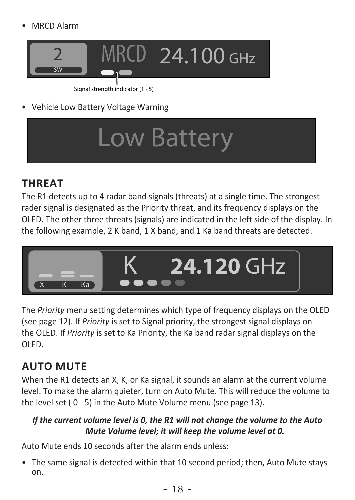• MRCD Alarm



Signal strength indicator (1 - 5)

• Vehicle Low Battery Voltage Warning

# Low Battery

### **THREAT**

The R1 detects up to 4 radar band signals (threats) at a single time. The strongest rader signal is designated as the Priority threat, and its frequency displays on the OLED. The other three threats (signals) are indicated in the left side of the display. In the following example, 2 K band, 1 X band, and 1 Ka band threats are detected.



The *Priority* menu setting determines which type of frequency displays on the OLED (see page 12). If *Priority* is set to Signal priority, the strongest signal displays on the OLED. If *Priority* is set to Ka Priority, the Ka band radar signal displays on the OLED.

### **AUTO MUTE**

When the R1 detects an X, K, or Ka signal, it sounds an alarm at the current volume level. To make the alarm quieter, turn on Auto Mute. This will reduce the volume to the level set ( 0 - 5) in the Auto Mute Volume menu (see page 13).

#### *If the current volume level is 0, the R1 will not change the volume to the Auto Mute Volume level; it will keep the volume level at 0.*

Auto Mute ends 10 seconds after the alarm ends unless:

• The same signal is detected within that 10 second period; then, Auto Mute stays on.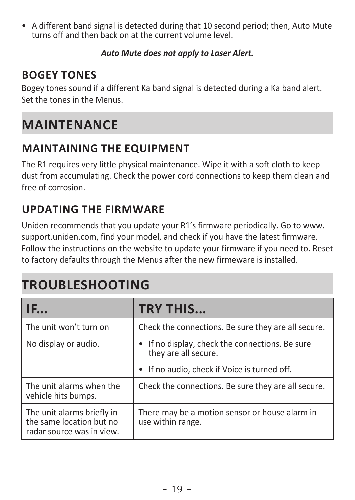• A different band signal is detected during that 10 second period; then, Auto Mute turns off and then back on at the current volume level.

#### *Auto Mute does not apply to Laser Alert.*

### **BOGEY TONES**

Bogey tones sound if a different Ka band signal is detected during a Ka band alert. Set the tones in the Menus.

# **MAINTENANCE**

### **MAINTAINING THE EQUIPMENT**

The R1 requires very little physical maintenance. Wipe it with a soft cloth to keep dust from accumulating. Check the power cord connections to keep them clean and free of corrosion.

### **UPDATING THE FIRMWARE**

Uniden recommends that you update your R1's firmware periodically. Go to www. support.uniden.com, find your model, and check if you have the latest firmware. Follow the instructions on the website to update your firmware if you need to. Reset to factory defaults through the Menus after the new firmeware is installed.

# **TROUBLESHOOTING**

| IF                                                                                  | <b>TRY THIS</b>                                                         |  |
|-------------------------------------------------------------------------------------|-------------------------------------------------------------------------|--|
| The unit won't turn on                                                              | Check the connections. Be sure they are all secure.                     |  |
| No display or audio.                                                                | • If no display, check the connections. Be sure<br>they are all secure. |  |
|                                                                                     | • If no audio, check if Voice is turned off.                            |  |
| The unit alarms when the<br>vehicle hits bumps.                                     | Check the connections. Be sure they are all secure.                     |  |
| The unit alarms briefly in<br>the same location but no<br>radar source was in view. | There may be a motion sensor or house alarm in<br>use within range.     |  |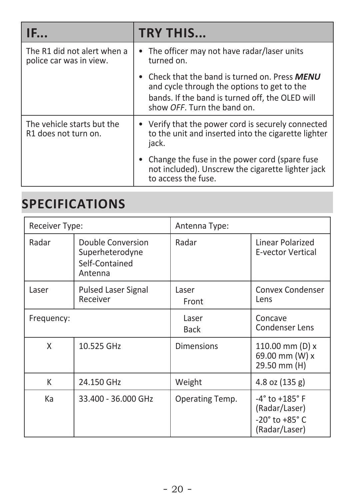| IE                                                     | <b>TRY THIS</b>                                                                                                                                                               |  |
|--------------------------------------------------------|-------------------------------------------------------------------------------------------------------------------------------------------------------------------------------|--|
| The R1 did not alert when a<br>police car was in view. | • The officer may not have radar/laser units<br>turned on.                                                                                                                    |  |
|                                                        | Check that the band is turned on. Press MENU<br>and cycle through the options to get to the<br>bands. If the band is turned off, the OLED will<br>show OFF. Turn the band on. |  |
| The vehicle starts but the<br>R1 does not turn on.     | • Verify that the power cord is securely connected<br>to the unit and inserted into the cigarette lighter<br>jack.                                                            |  |
|                                                        | Change the fuse in the power cord (spare fuse)<br>not included). Unscrew the cigarette lighter jack<br>to access the fuse.                                                    |  |

### **SPECIFICATIONS**

| Receiver Type: |                                                                   | Antenna Type:        |                                                                                                        |
|----------------|-------------------------------------------------------------------|----------------------|--------------------------------------------------------------------------------------------------------|
| Radar          | Double Conversion<br>Superheterodyne<br>Self-Contained<br>Antenna | Radar                | Linear Polarized<br><b>E-vector Vertical</b>                                                           |
| Laser          | <b>Pulsed Laser Signal</b><br>Receiver                            | Laser<br>Front       | Convex Condenser<br>Lens                                                                               |
| Frequency:     |                                                                   | Laser<br><b>Back</b> | Concave<br>Condenser Lens                                                                              |
| X              | 10.525 GHz                                                        | <b>Dimensions</b>    | 110.00 mm (D) x<br>69.00 mm (W) x<br>29.50 mm (H)                                                      |
| К              | 24.150 GHz                                                        | Weight               | 4.8 oz (135 g)                                                                                         |
| Кa             | 33.400 - 36.000 GHz                                               | Operating Temp.      | $-4^{\circ}$ to $+185^{\circ}$ F<br>(Radar/Laser)<br>$-20^{\circ}$ to $+85^{\circ}$ C<br>(Radar/Laser) |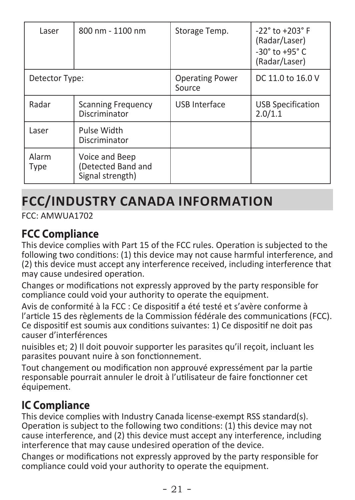| Laser          | 800 nm - 1100 nm                                         | Storage Temp.                    | $-22^{\circ}$ to $+203^{\circ}$ F<br>(Radar/Laser)<br>$-30^{\circ}$ to $+95^{\circ}$ C<br>(Radar/Laser) |
|----------------|----------------------------------------------------------|----------------------------------|---------------------------------------------------------------------------------------------------------|
| Detector Type: |                                                          | <b>Operating Power</b><br>Source | DC 11.0 to 16.0 V                                                                                       |
| Radar          | <b>Scanning Frequency</b><br>Discriminator               | USB Interface                    | <b>USB Specification</b><br>2.0/1.1                                                                     |
| Laser          | Pulse Width<br>Discriminator                             |                                  |                                                                                                         |
| Alarm<br>Type  | Voice and Beep<br>(Detected Band and<br>Signal strength) |                                  |                                                                                                         |

# **FCC/INDUSTRY CANADA INFORMATION**

FCC: AMWUA1702

### **FCC Compliance**

This device complies with Part 15 of the FCC rules. Operation is subjected to the following two conditions: (1) this device may not cause harmful interference, and (2) this device must accept any interference received, including interference that may cause undesired operation.

Changes or modifications not expressly approved by the party responsible for compliance could void your authority to operate the equipment.

Avis de conformité à la FCC : Ce dispositif a été testé et s'avère conforme à l'article 15 des règlements de la Commission fédérale des communications (FCC). Ce dispositif est soumis aux conditions suivantes: 1) Ce dispositif ne doit pas causer d'interférences

nuisibles et; 2) Il doit pouvoir supporter les parasites qu'il reçoit, incluant les parasites pouvant nuire à son fonctionnement.

Tout changement ou modification non approuvé expressément par la partie responsable pourrait annuler le droit à l'utilisateur de faire fonctionner cet équipement.

### **IC Compliance**

This device complies with Industry Canada license-exempt RSS standard(s). Operation is subject to the following two conditions: (1) this device may not cause interference, and (2) this device must accept any interference, including interference that may cause undesired operation of the device.

Changes or modifications not expressly approved by the party responsible for compliance could void your authority to operate the equipment.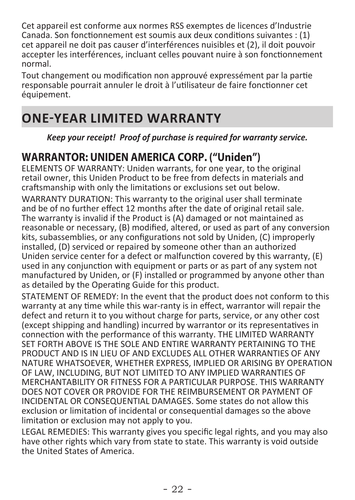Cet appareil est conforme aux normes RSS exemptes de licences d'Industrie Canada. Son fonctionnement est soumis aux deux conditions suivantes : (1) cet appareil ne doit pas causer d'interférences nuisibles et (2), il doit pouvoir accepter les interférences, incluant celles pouvant nuire à son fonctionnement normal.

Tout changement ou modification non approuvé expressément par la partie responsable pourrait annuler le droit à l'utilisateur de faire fonctionner cet équipement.

# **ONE-YEAR LIMITED WARRANTY**

*Keep your receipt! Proof of purchase is required for warranty service.*

### **WARRANTOR: UNIDEN AMERICA CORP. ("Uniden")**

ELEMENTS OF WARRANTY: Uniden warrants, for one year, to the original retail owner, this Uniden Product to be free from defects in materials and craftsmanship with only the limitations or exclusions set out below.

WARRANTY DURATION: This warranty to the original user shall terminate and be of no further effect 12 months after the date of original retail sale. The warranty is invalid if the Product is (A) damaged or not maintained as reasonable or necessary, (B) modified, altered, or used as part of any conversion kits, subassemblies, or any configurations not sold by Uniden, (C) improperly installed, (D) serviced or repaired by someone other than an authorized Uniden service center for a defect or malfunction covered by this warranty, (E) used in any conjunction with equipment or parts or as part of any system not manufactured by Uniden, or (F) installed or programmed by anyone other than as detailed by the Operating Guide for this product.

STATEMENT OF REMEDY: In the event that the product does not conform to this warranty at any time while this war-ranty is in effect, warrantor will repair the defect and return it to you without charge for parts, service, or any other cost (except shipping and handling) incurred by warrantor or its representatives in connection with the performance of this warranty. THE LIMITED WARRANTY SET FORTH ABOVE IS THE SOLE AND ENTIRE WARRANTY PERTAINING TO THE PRODUCT AND IS IN LIEU OF AND EXCLUDES ALL OTHER WARRANTIES OF ANY NATURE WHATSOEVER, WHETHER EXPRESS, IMPLIED OR ARISING BY OPERATION OF LAW, INCLUDING, BUT NOT LIMITED TO ANY IMPLIED WARRANTIES OF MERCHANTABILITY OR FITNESS FOR A PARTICULAR PURPOSE. THIS WARRANTY DOES NOT COVER OR PROVIDE FOR THE REIMBURSEMENT OR PAYMENT OF INCIDENTAL OR CONSEQUENTIAL DAMAGES. Some states do not allow this exclusion or limitation of incidental or consequential damages so the above limitation or exclusion may not apply to you.

LEGAL REMEDIES: This warranty gives you specific legal rights, and you may also have other rights which vary from state to state. This warranty is void outside the United States of America.